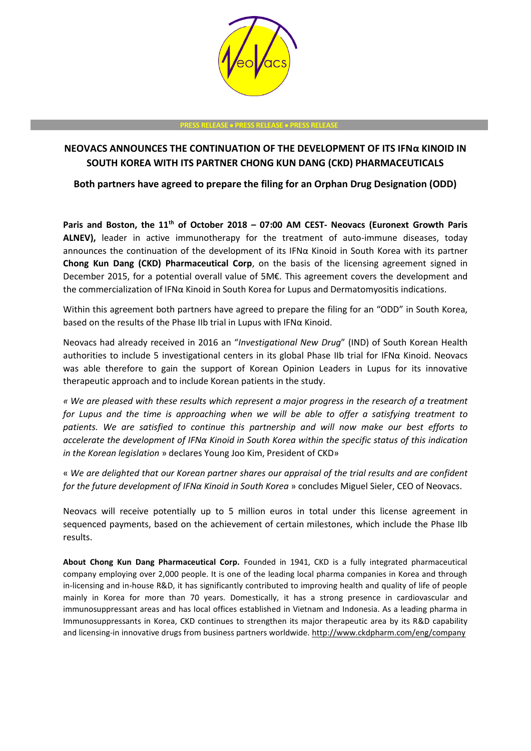

## **PRESS RELEASE PRESS RELEASE PRESS RELEASE**

## **NEOVACS ANNOUNCES THE CONTINUATION OF THE DEVELOPMENT OF ITS IFNα KINOID IN SOUTH KOREA WITH ITS PARTNER CHONG KUN DANG (CKD) PHARMACEUTICALS**

**Both partners have agreed to prepare the filing for an Orphan Drug Designation (ODD)**

**Paris and Boston, the 11th of October 2018 – 07:00 AM CEST- Neovacs (Euronext Growth Paris ALNEV),** leader in active immunotherapy for the treatment of auto-immune diseases, today announces the continuation of the development of its IFNα Kinoid in South Korea with its partner **Chong Kun Dang (CKD) Pharmaceutical Corp**, on the basis of the licensing agreement signed in December 2015, for a potential overall value of 5M€. This agreement covers the development and the commercialization of IFNα Kinoid in South Korea for Lupus and Dermatomyositis indications.

Within this agreement both partners have agreed to prepare the filing for an "ODD" in South Korea, based on the results of the Phase IIb trial in Lupus with IFNα Kinoid.

Neovacs had already received in 2016 an "*Investigational New Drug*" (IND) of South Korean Health authorities to include 5 investigational centers in its global Phase IIb trial for IFNα Kinoid. Neovacs was able therefore to gain the support of Korean Opinion Leaders in Lupus for its innovative therapeutic approach and to include Korean patients in the study.

*« We are pleased with these results which represent a major progress in the research of a treatment for Lupus and the time is approaching when we will be able to offer a satisfying treatment to patients. We are satisfied to continue this partnership and will now make our best efforts to accelerate the development of IFNα Kinoid in South Korea within the specific status of this indication in the Korean legislation* » declares Young Joo Kim, President of CKD»

« *We are delighted that our Korean partner shares our appraisal of the trial results and are confident for the future development of IFNα Kinoid in South Korea* » concludes Miguel Sieler, CEO of Neovacs.

Neovacs will receive potentially up to 5 million euros in total under this license agreement in sequenced payments, based on the achievement of certain milestones, which include the Phase IIb results.

**About Chong Kun Dang Pharmaceutical Corp.** Founded in 1941, CKD is a fully integrated pharmaceutical company employing over 2,000 people. It is one of the leading local pharma companies in Korea and through in-licensing and in-house R&D, it has significantly contributed to improving health and quality of life of people mainly in Korea for more than 70 years. Domestically, it has a strong presence in cardiovascular and immunosuppressant areas and has local offices established in Vietnam and Indonesia. As a leading pharma in Immunosuppressants in Korea, CKD continues to strengthen its major therapeutic area by its R&D capability and licensing-in innovative drugs from business partners worldwide.<http://www.ckdpharm.com/eng/company>